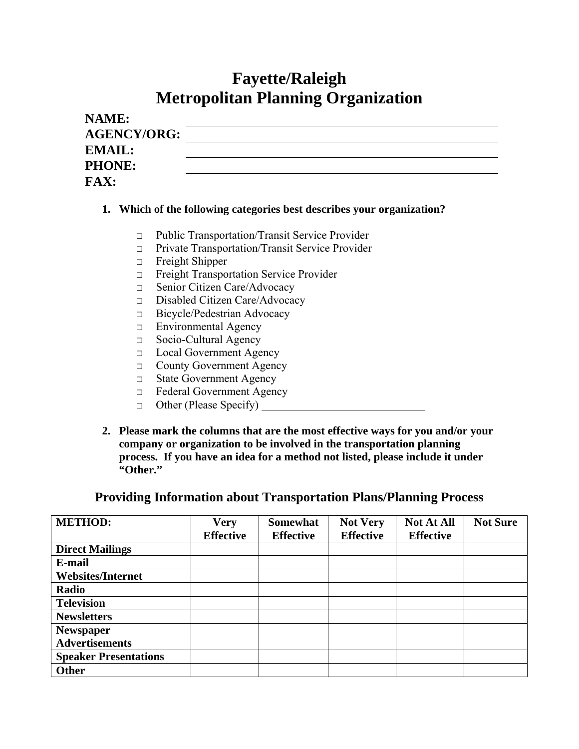# **Fayette/Raleigh Metropolitan Planning Organization**

| NAME:              |  |
|--------------------|--|
| <b>AGENCY/ORG:</b> |  |
| <b>EMAIL:</b>      |  |
| <b>PHONE:</b>      |  |
| <b>FAX:</b>        |  |

#### **1. Which of the following categories best describes your organization?**

- □ Public Transportation/Transit Service Provider
- □ Private Transportation/Transit Service Provider
- □ Freight Shipper
- □ Freight Transportation Service Provider
- □ Senior Citizen Care/Advocacy
- □ Disabled Citizen Care/Advocacy
- □ Bicycle/Pedestrian Advocacy
- □ Environmental Agency
- □ Socio-Cultural Agency
- □ Local Government Agency
- □ County Government Agency
- □ State Government Agency
- □ Federal Government Agency
- $\Box$  Other (Please Specify)  $\Box$
- **2. Please mark the columns that are the most effective ways for you and/or your company or organization to be involved in the transportation planning process. If you have an idea for a method not listed, please include it under "Other."**

### **Providing Information about Transportation Plans/Planning Process**

| <b>METHOD:</b>               | <b>Very</b>      | <b>Somewhat</b>  | <b>Not Very</b>  | <b>Not At All</b> | <b>Not Sure</b> |
|------------------------------|------------------|------------------|------------------|-------------------|-----------------|
|                              | <b>Effective</b> | <b>Effective</b> | <b>Effective</b> | <b>Effective</b>  |                 |
| <b>Direct Mailings</b>       |                  |                  |                  |                   |                 |
| E-mail                       |                  |                  |                  |                   |                 |
| <b>Websites/Internet</b>     |                  |                  |                  |                   |                 |
| Radio                        |                  |                  |                  |                   |                 |
| <b>Television</b>            |                  |                  |                  |                   |                 |
| <b>Newsletters</b>           |                  |                  |                  |                   |                 |
| <b>Newspaper</b>             |                  |                  |                  |                   |                 |
| <b>Advertisements</b>        |                  |                  |                  |                   |                 |
| <b>Speaker Presentations</b> |                  |                  |                  |                   |                 |
| Other                        |                  |                  |                  |                   |                 |